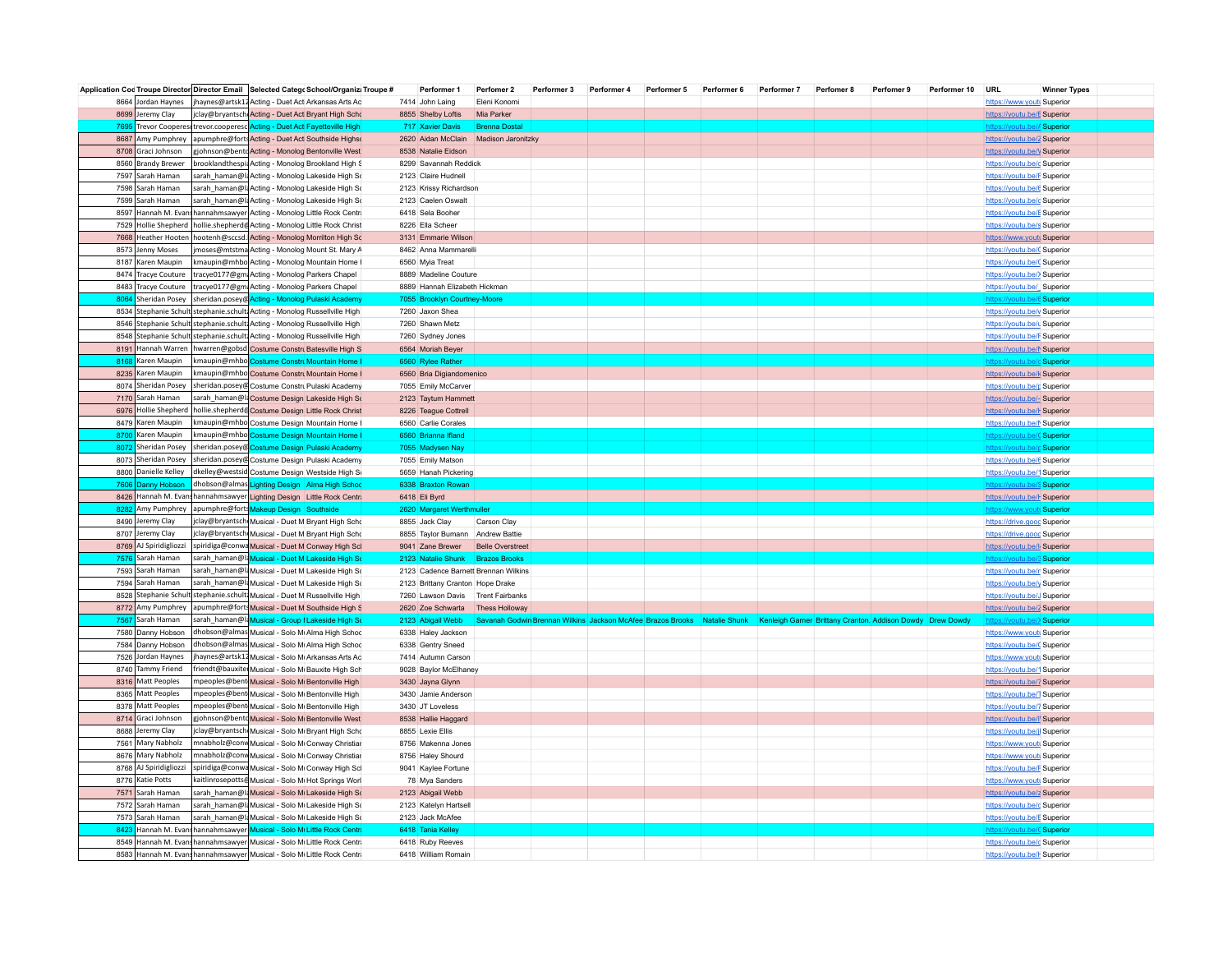|      |                        | Application Cod Troupe Director Director Email Selected Catego School/Organizi Troupe # | Performer 1                            | Perfomer 2              | Performer 3 | Performer 4 | Performer 5 | Performer 6 | Performer 7                                                                                                                         | Perfomer 8 | Perfomer 9 | Performer 10 | URL                          | <b>Winner Types</b> |
|------|------------------------|-----------------------------------------------------------------------------------------|----------------------------------------|-------------------------|-------------|-------------|-------------|-------------|-------------------------------------------------------------------------------------------------------------------------------------|------------|------------|--------------|------------------------------|---------------------|
|      | 8664 Jordan Haynes     | jhaynes@artsk12 Acting - Duet Act Arkansas Arts Ac                                      | 7414 John Laing                        | Eleni Konomi            |             |             |             |             |                                                                                                                                     |            |            |              | https://www.youtu Superior   |                     |
|      | 8699 Jeremy Clay       | clay@bryantsch Acting - Duet Act Bryant High Scho                                       | 8855 Shelby Loftis                     | Mia Parker              |             |             |             |             |                                                                                                                                     |            |            |              | https://youtu.be/E Superior  |                     |
|      |                        | 7695 Trevor Cooperes trevor cooperesc Acting - Duet Act Fayetteville High               | 717 Xavier Davis                       | <b>Brenna Dostal</b>    |             |             |             |             |                                                                                                                                     |            |            |              |                              | be// Superior       |
|      | 8687 Amy Pumphrey      | apumphre@forts Acting - Duet Act Southside Highst                                       | 2620 Aidan McClain                     | Madison Jaronitzky      |             |             |             |             |                                                                                                                                     |            |            |              | https://youtu.be/2 Superior  |                     |
|      | 8708 Graci Johnson     | gjohnson@bentoActing - Monolog Bentonville West                                         | 8538 Natalie Eidson                    |                         |             |             |             |             |                                                                                                                                     |            |            |              | https://youtu.be/V Superior  |                     |
|      | 8560 Brandy Brewer     | brooklandthespi Acting - Monolog Brookland High S                                       | 8299 Savannah Reddick                  |                         |             |             |             |             |                                                                                                                                     |            |            |              | https://youtu.be/c Superior  |                     |
|      | 7597 Sarah Haman       | sarah_haman@laActing - Monolog Lakeside High So                                         | 2123 Claire Hudnell                    |                         |             |             |             |             |                                                                                                                                     |            |            |              | https://youtu.be/F Superior  |                     |
|      | 7598 Sarah Haman       | sarah_haman@l{Acting - Monolog Lakeside High So                                         | 2123 Krissy Richardson                 |                         |             |             |             |             |                                                                                                                                     |            |            |              | https://youtu.be/6 Superior  |                     |
|      | 7599 Sarah Haman       | sarah_haman@l{Acting - Monolog Lakeside High So                                         |                                        |                         |             |             |             |             |                                                                                                                                     |            |            |              |                              |                     |
|      |                        |                                                                                         | 2123 Caelen Oswalt<br>6418 Sela Booher |                         |             |             |             |             |                                                                                                                                     |            |            |              | https://youtu.be/c Superior  |                     |
|      |                        | 8597 Hannah M. Evans hannahmsawyer Acting - Monolog Little Rock Centri                  |                                        |                         |             |             |             |             |                                                                                                                                     |            |            |              | https://youtu.be/E Superior  |                     |
|      |                        | 7529 Hollie Shepherd   hollie.shepherd & Acting - Monolog Little Rock Christ            | 8226 Ella Scheer                       |                         |             |             |             |             |                                                                                                                                     |            |            |              | https://youtu.be/s Superior  |                     |
|      | 7668 Heather Hooten    | hootenh@sccsd. Acting - Monolog Morrilton High Sc                                       | 3131 Emmarie Wilson                    |                         |             |             |             |             |                                                                                                                                     |            |            |              | https://www.youtu Superior   |                     |
|      | 8573 Jenny Moses       | moses@mtstma Acting - Monolog Mount St. Mary A                                          | 8462 Anna Mammarelli                   |                         |             |             |             |             |                                                                                                                                     |            |            |              | https://youtu.be/C Superior  |                     |
|      | 8187 Karen Maupin      | kmaupin@mhbo Acting - Monolog Mountain Home I                                           | 6560 Myia Treat                        |                         |             |             |             |             |                                                                                                                                     |            |            |              | https://youtu.be/C Superior  |                     |
|      | 8474 Tracye Couture    | tracye0177@gm Acting - Monolog Parkers Chapel                                           | 8889 Madeline Couture                  |                         |             |             |             |             |                                                                                                                                     |            |            |              | https://youtu.be/> Superior  |                     |
|      | 8483 Tracye Couture    | tracye0177@gm Acting - Monolog Parkers Chapel                                           | 8889 Hannah Elizabeth Hickman          |                         |             |             |             |             |                                                                                                                                     |            |            |              | https://youtu.be/ Superior   |                     |
|      | 8064 Sheridan Posey    | sheridan.posey@ Acting - Monolog Pulaski Academy                                        | 7055 Brooklyn Courtney-Moore           |                         |             |             |             |             |                                                                                                                                     |            |            |              | https://voutu.be/6 Superior  |                     |
|      |                        | 8534 Stephanie Schult stephanie.schult Acting - Monolog Russellville High               | 7260 Jaxon Shea                        |                         |             |             |             |             |                                                                                                                                     |            |            |              | https://youtu.be/y Superior  |                     |
|      |                        | 8546 Stephanie Schult stephanie.schult Acting - Monolog Russellville High               | 7260 Shawn Metz                        |                         |             |             |             |             |                                                                                                                                     |            |            |              | https://youtu.be/u Superior  |                     |
|      |                        | 8548 Stephanie Schult stephanie.schult Acting - Monolog Russellville High               | 7260 Sydney Jones                      |                         |             |             |             |             |                                                                                                                                     |            |            |              | https://youtu.be/F Superior  |                     |
|      |                        | 8191 Hannah Warren   hwarren@gobsd Costume Constru Batesville High S                    | 6564 Moriah Beyer                      |                         |             |             |             |             |                                                                                                                                     |            |            |              | https://youtu.be/M Superior  |                     |
|      | 8168 Karen Maupin      | kmaupin@mhbo Costume Constru Mountain Home I                                            | 6560 Rylee Rather                      |                         |             |             |             |             |                                                                                                                                     |            |            |              | https://voutu.be/dSuperior   |                     |
|      | 8235 Karen Maupin      | maupin@mhbo Costume Constru Mountain Home I                                             | 6560 Bria Digiandomenico               |                         |             |             |             |             |                                                                                                                                     |            |            |              | https://youtu.be/k Superior  |                     |
|      |                        | 8074 Sheridan Posey   sheridan.posey@ Costume Constru Pulaski Academy                   | 7055 Emily McCarver                    |                         |             |             |             |             |                                                                                                                                     |            |            |              | https://youtu.be/g Superior  |                     |
|      | 7170 Sarah Haman       | sarah_haman@l{ Costume Design Lakeside High So                                          | 2123 Taytum Hammett                    |                         |             |             |             |             |                                                                                                                                     |            |            |              |                              |                     |
|      |                        | 6976 Hollie Shepherd   hollie.shepherd Costume Design Little Rock Christ                | 8226 Teague Cottrell                   |                         |             |             |             |             |                                                                                                                                     |            |            |              | https://youtu.be/- Superior  |                     |
|      |                        |                                                                                         |                                        |                         |             |             |             |             |                                                                                                                                     |            |            |              | https://youtu.be/l-Superior  |                     |
|      | 8479 Karen Maupin      | kmaupin@mhbo Costume Design Mountain Home I                                             | 6560 Carlie Corales                    |                         |             |             |             |             |                                                                                                                                     |            |            |              | https://youtu.be/M Superior  |                     |
| 8700 | Karen Maupin           | kmaupin@mhbo <mark> Costume Design Mountain Home I</mark>                               | 6560 Brianna Ifland                    |                         |             |             |             |             |                                                                                                                                     |            |            |              | https://youtu.be/C Superior  |                     |
|      | 8072 Sheridan Posey    | sheridan.posey@ Costume Design Pulaski Academy                                          | 7055 Madysen Nay                       |                         |             |             |             |             |                                                                                                                                     |            |            |              | https://youtu.be/p Superior  |                     |
|      | 8073 Sheridan Posey    | sheridan.posey@ Costume Design Pulaski Academy                                          | 7055 Emily Matson                      |                         |             |             |             |             |                                                                                                                                     |            |            |              | https://youtu.be/6 Superior  |                     |
|      | 8800 Danielle Kelley   | dkelley@westsid Costume Design Westside High Si                                         | 5659 Hanah Pickering                   |                         |             |             |             |             |                                                                                                                                     |            |            |              | https://youtu.be/1 Superior  |                     |
|      | 7606 Danny Hobson      | dhobson@almas Lighting Design Alma High School                                          | 6338 Braxton Rowan                     |                         |             |             |             |             |                                                                                                                                     |            |            |              | https://voutu.be/S Superior  |                     |
|      |                        | 8426 Hannah M. Evan hannahmsawyer Lighting Design Little Rock Centr.                    | 6418 Eli Byrd                          |                         |             |             |             |             |                                                                                                                                     |            |            |              | https://youtu.be/l-Superior  |                     |
| 8282 | Amy Pumphrey           | apumphre@forts Makeup Design Southside                                                  | 2620 Margaret Werthmuller              |                         |             |             |             |             |                                                                                                                                     |            |            |              |                              | Superior            |
|      | 8490 Jeremy Clay       | jclay@bryantsch Musical - Duet M Bryant High Scho                                       | 8855 Jack Clay                         | Carson Clay             |             |             |             |             |                                                                                                                                     |            |            |              | https://drive.goog Superior  |                     |
|      | 8707 Jeremy Clay       | jclay@bryantsch Musical - Duet M Bryant High Scho                                       | 8855 Taylor Bumann Andrew Battie       |                         |             |             |             |             |                                                                                                                                     |            |            |              | https://drive.goog Superior  |                     |
|      | 8769 AJ Spiridigliozzi | spiridiga@conwa Musical - Duet M Conway High Scl                                        | 9041 Zane Brewer                       | <b>Belle Overstreet</b> |             |             |             |             |                                                                                                                                     |            |            |              | https://youtu.be/l. Superior |                     |
|      | 7576 Sarah Haman       | sarah_haman@I Musical - Duet M Lakeside High So                                         | 2123 Natalie Shunk                     | <b>Brazos Brooks</b>    |             |             |             |             |                                                                                                                                     |            |            |              | https://voutu.be/3 Superior  |                     |
|      | 7593 Sarah Haman       | sarah_haman@l{Musical - Duet M Lakeside High So                                         | 2123 Cadence Barnett Brennan Wilkins   |                         |             |             |             |             |                                                                                                                                     |            |            |              | https://youtu.be/r Superior  |                     |
|      | 7594 Sarah Haman       |                                                                                         |                                        |                         |             |             |             |             |                                                                                                                                     |            |            |              |                              |                     |
|      |                        | sarah_haman@l{Musical - Duet M Lakeside High So                                         | 2123 Brittany Cranton Hope Drake       |                         |             |             |             |             |                                                                                                                                     |            |            |              | https://youtu.be/y Superior  |                     |
|      |                        | 8528 Stephanie Schult stephanie.schult Musical - Duet M Russellville High               | 7260 Lawson Davis                      | <b>Trent Fairbanks</b>  |             |             |             |             |                                                                                                                                     |            |            |              | https://youtu.be/J Superior  |                     |
|      | 8772 Amy Pumphrey      | apumphre@fortsMusical - Duet M Southside High S                                         | 2620 Zoe Schwarta                      | <b>Thess Holloway</b>   |             |             |             |             |                                                                                                                                     |            |            |              | https://youtu.be/2 Superior  |                     |
|      | 7567 Sarah Haman       | sarah_haman@IaMusical - Group   Lakeside High So                                        | 2123 Abigail Webb                      |                         |             |             |             |             | Savanah Godwin Brennan Wilkins Jackson McAfee Brazos Brooks Natalie Shunk Kenleigh Gamer Brittany Cranton. Addison Dowdy Drew Dowdy |            |            |              | https://youtu.be/>Superior   |                     |
|      | 7580 Danny Hobson      | dhobson@almas Musical - Solo M Alma High School                                         | 6338 Haley Jackson                     |                         |             |             |             |             |                                                                                                                                     |            |            |              | https://www.youtu Superior   |                     |
|      | 7584 Danny Hobson      | dhobson@almas Musical - Solo Mi Alma High School                                        | 6338 Gentry Sneed                      |                         |             |             |             |             |                                                                                                                                     |            |            |              | https://youtu.be/C Superior  |                     |
|      | 7526 Jordan Haynes     | jhaynes@artsk12 Musical - Solo M Arkansas Arts Ac                                       | 7414 Autumn Carson                     |                         |             |             |             |             |                                                                                                                                     |            |            |              | https://www.youtu Superior   |                     |
|      | 8740 Tammy Friend      | friendt@bauxite Musical - Solo M Bauxite High Sch                                       | 9028 Baylor McElhaney                  |                         |             |             |             |             |                                                                                                                                     |            |            |              | https://youtu.be/1 Superior  |                     |
|      | 8316 Matt Peoples      | mpeoples@bent Musical - Solo M Bentonville High                                         | 3430 Jayna Glynn                       |                         |             |             |             |             |                                                                                                                                     |            |            |              | https://youtu.be/7 Superior  |                     |
|      | 8365 Matt Peoples      | mpeoples@bent Musical - Solo M Bentonville High                                         | 3430 Jamie Anderson                    |                         |             |             |             |             |                                                                                                                                     |            |            |              | https://voutu.be/T Superior  |                     |
|      | 8378 Matt Peoples      | npeoples@bent Musical - Solo M Bentonville High                                         | 3430 JT Loveless                       |                         |             |             |             |             |                                                                                                                                     |            |            |              | https://youtu.be/7 Superior  |                     |
|      | 8714 Graci Johnson     | gjohnson@bentdMusical - Solo M Bentonville West                                         | 8538 Hallie Haggard                    |                         |             |             |             |             |                                                                                                                                     |            |            |              | https://youtu.be/l' Superior |                     |
|      | 8688 Jeremy Clay       | clay@bryantsch Musical - Solo M Bryant High Scho                                        | 8855 Lexie Ellis                       |                         |             |             |             |             |                                                                                                                                     |            |            |              | https://youtu.be/jl Superior |                     |
|      | 7561 Mary Nabholz      | mnabholz@conv Musical - Solo Mi Conway Christian                                        | 8756 Makenna Jones                     |                         |             |             |             |             |                                                                                                                                     |            |            |              | https://www.youtu Superior   |                     |
|      | 8676 Mary Nabholz      | mnabholz@conv Musical - Solo M Conway Christian                                         |                                        |                         |             |             |             |             |                                                                                                                                     |            |            |              |                              |                     |
|      |                        |                                                                                         | 8756 Haley Shourd                      |                         |             |             |             |             |                                                                                                                                     |            |            |              | https://www.youtu Superior   |                     |
|      | 8768 AJ Spiridigliozzi | spiridiga@conwa Musical - Solo M Conway High Sc                                         | 9041 Kaylee Fortune                    |                         |             |             |             |             |                                                                                                                                     |            |            |              | https://youtu.be/F Superior  |                     |
|      | 8776 Katie Potts       | kaitlinrosepotts@Musical - Solo M Hot Springs Worl                                      | 78 Mya Sanders                         |                         |             |             |             |             |                                                                                                                                     |            |            |              | https://www.youtu Superior   |                     |
|      | 7571 Sarah Haman       | sarah_haman@laMusical - Solo M Lakeside High So                                         | 2123 Abigail Webb                      |                         |             |             |             |             |                                                                                                                                     |            |            |              | https://youtu.be/z Superior  |                     |
|      | 7572 Sarah Haman       | sarah_haman@laMusical - Solo M Lakeside High So                                         | 2123 Katelyn Hartsell                  |                         |             |             |             |             |                                                                                                                                     |            |            |              | https://youtu.be/c Superior  |                     |
|      | 7573 Sarah Haman       | sarah_haman@l{Musical - Solo M Lakeside High So                                         | 2123 Jack McAfee                       |                         |             |             |             |             |                                                                                                                                     |            |            |              | https://youtu.be/E Superior  |                     |
| 8423 |                        | Hannah M. Evans hannahmsawyer Musical - Solo M. Little Rock Centr                       | 6418 Tania Kelley                      |                         |             |             |             |             |                                                                                                                                     |            |            |              | https://voutu.be/C Superior  |                     |
|      |                        | 8549 Hannah M. Evan hannahmsawyer Musical - Solo M Little Rock Centr.                   | 6418 Ruby Reeves                       |                         |             |             |             |             |                                                                                                                                     |            |            |              | https://youtu.be/c Superior  |                     |
|      |                        | 8583 Hannah M. Evan hannahmsawyer Musical - Solo M Little Rock Centr                    | 6418 William Romain                    |                         |             |             |             |             |                                                                                                                                     |            |            |              | https://youtu.be/l-Superior  |                     |
|      |                        |                                                                                         |                                        |                         |             |             |             |             |                                                                                                                                     |            |            |              |                              |                     |